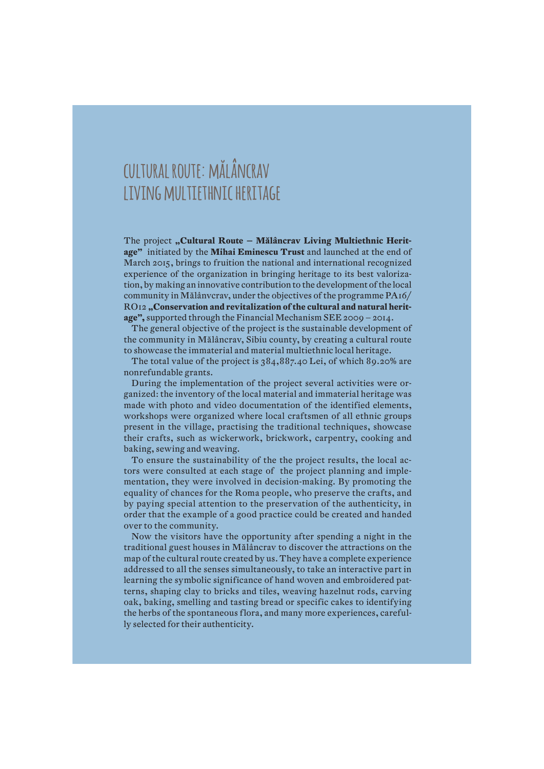## **cultural route: mălâncrav living multiethnic heritage**

The project "Cultural Route – Mălâncrav Living Multiethnic Herit**age"** initiated by the **Mihai Eminescu Trust** and launched at the end of March 2015, brings to fruition the national and international recognized experience of the organization in bringing heritage to its best valorization, by making an innovative contribution to the development of the local community in Mălânvcrav, under the objectives of the programme PA16/ RO12 **"Conservation and revitalization of the cultural and natural heritage",** supported through the Financial Mechanism SEE 2009 – 2014.

The general objective of the project is the sustainable development of the community in Mălâncrav, Sibiu county, by creating a cultural route to showcase the immaterial and material multiethnic local heritage.

The total value of the project is 384,887.40 Lei, of which 89.20% are nonrefundable grants.

During the implementation of the project several activities were organized: the inventory of the local material and immaterial heritage was made with photo and video documentation of the identified elements, workshops were organized where local craftsmen of all ethnic groups present in the village, practising the traditional techniques, showcase their crafts, such as wickerwork, brickwork, carpentry, cooking and baking, sewing and weaving.

To ensure the sustainability of the the project results, the local actors were consulted at each stage of the project planning and implementation, they were involved in decision-making. By promoting the equality of chances for the Roma people, who preserve the crafts, and by paying special attention to the preservation of the authenticity, in order that the example of a good practice could be created and handed over to the community.

Now the visitors have the opportunity after spending a night in the traditional guest houses in Mălâncrav to discover the attractions on the map of the cultural route created by us. They have a complete experience addressed to all the senses simultaneously, to take an interactive part in learning the symbolic significance of hand woven and embroidered patterns, shaping clay to bricks and tiles, weaving hazelnut rods, carving oak, baking, smelling and tasting bread or specific cakes to identifying the herbs of the spontaneous flora, and many more experiences, carefully selected for their authenticity.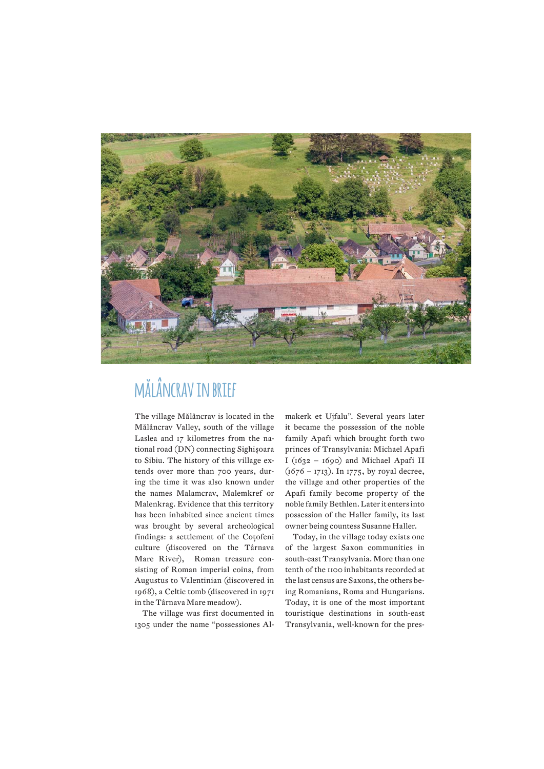

# **mălâncrav in brief**

The village Mălâncrav is located in the Mălâncrav Valley, south of the village Laslea and 17 kilometres from the national road (DN) connecting Sighișoara to Sibiu. The history of this village extends over more than 700 years, during the time it was also known under the names Malamcrav, Malemkref or Malenkrag. Evidence that this territory has been inhabited since ancient times was brought by several archeological findings: a settlement of the Coțofeni culture (discovered on the Târnava Mare River), Roman treasure consisting of Roman imperial coins, from Augustus to Valentinian (discovered in 1968), a Celtic tomb (discovered in 1971 in the Târnava Mare meadow).

The village was first documented in 1305 under the name "possessiones Almakerk et Ujfalu". Several years later it became the possession of the noble family Apafi which brought forth two princes of Transylvania: Michael Apafi I ( $1632 - 1690$ ) and Michael Apafi II  $(1676 - 1713)$ . In 1775, by royal decree, the village and other properties of the Apafi family become property of the noble family Bethlen. Later it enters into possession of the Haller family, its last owner being countess Susanne Haller.

Today, in the village today exists one of the largest Saxon communities in south-east Transylvania. More than one tenth of the 1100 inhabitants recorded at the last census are Saxons, the others being Romanians, Roma and Hungarians. Today, it is one of the most important touristique destinations in south-east Transylvania, well-known for the pres-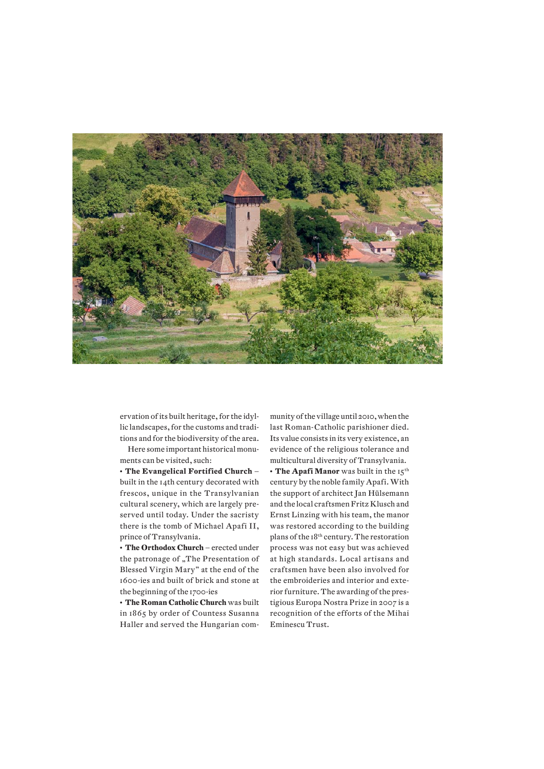

ervation of its built heritage, for the idyllic landscapes, for the customs and traditions and for the biodiversity of the area.

Here some important historical monuments can be visited, such:

**• The Evangelical Fortified Church** – built in the 14th century decorated with frescos, unique in the Transylvanian cultural scenery, which are largely preserved until today. Under the sacristy there is the tomb of Michael Apafi II, prince of Transylvania.

**• The Orthodox Church** – erected under the patronage of "The Presentation of Blessed Virgin Mary" at the end of the 1600-ies and built of brick and stone at the beginning of the 1700-ies

**• The Roman Catholic Church** was built in 1865 by order of Countess Susanna Haller and served the Hungarian com-

munity of the village until 2010, when the last Roman-Catholic parishioner died. Its value consists in its very existence, an evidence of the religious tolerance and multicultural diversity of Transylvania.

• The Apafi Manor was built in the 15<sup>th</sup> century by the noble family Apafi. With the support of architect Jan Hülsemann and the local craftsmen Fritz Klusch and Ernst Linzing with his team, the manor was restored according to the building plans of the 18th century. The restoration process was not easy but was achieved at high standards. Local artisans and craftsmen have been also involved for the embroideries and interior and exterior furniture. The awarding of the prestigious Europa Nostra Prize in 2007 is a recognition of the efforts of the Mihai Eminescu Trust.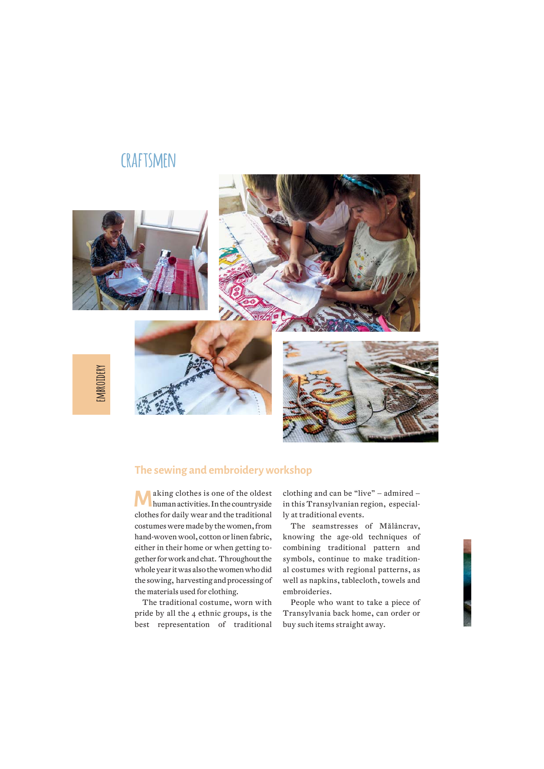### **craftsmen**



#### **The sewing and embroidery workshop**

**M** aking clothes is one of the oldest human activities. In the countryside clothes for daily wear and the traditional costumes were made by the women, from hand-woven wool, cotton or linen fabric, either in their home or when getting together for work and chat. Throughout the whole year it was also the women who did the sowing, harvesting and processing of the materials used for clothing.

The traditional costume, worn with pride by all the 4 ethnic groups, is the best representation of traditional

clothing and can be "live" – admired – in this Transylvanian region, especially at traditional events.

The seamstresses of Mălâncrav, knowing the age-old techniques of combining traditional pattern and symbols, continue to make traditional costumes with regional patterns, as well as napkins, tablecloth, towels and embroideries.

People who want to take a piece of Transylvania back home, can order or buy such items straight away.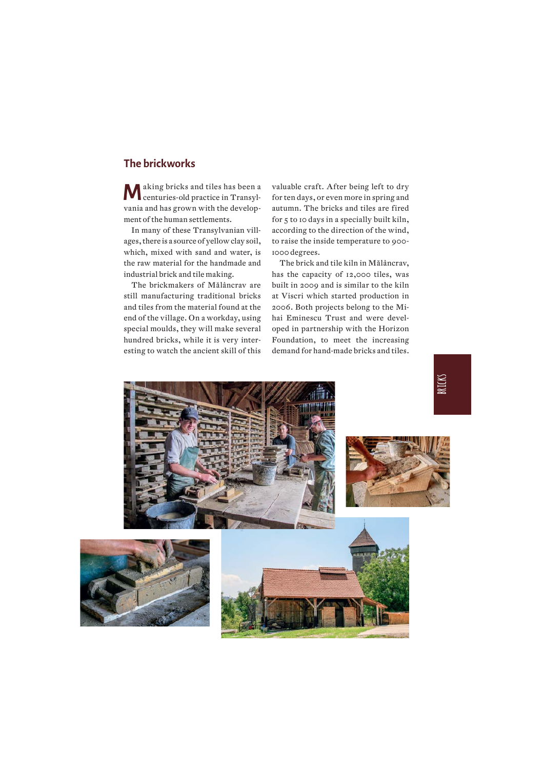#### **The brickworks**

**M** aking bricks and tiles has been a centuries-old practice in Transylvania and has grown with the development of the human settlements.

In many of these Transylvanian villages, there is a source of yellow clay soil, which, mixed with sand and water, is the raw material for the handmade and industrial brick and tile making.

The brickmakers of Mălâncrav are still manufacturing traditional bricks and tiles from the material found at the end of the village. On a workday, using special moulds, they will make several hundred bricks, while it is very interesting to watch the ancient skill of this

valuable craft. After being left to dry for ten days, or even more in spring and autumn. The bricks and tiles are fired for 5 to 10 days in a specially built kiln, according to the direction of the wind, to raise the inside temperature to 900- 1000 degrees.

The brick and tile kiln in Mălâncrav, has the capacity of 12,000 tiles, was built in 2009 and is similar to the kiln at Viscri which started production in 2006. Both projects belong to the Mihai Eminescu Trust and were developed in partnership with the Horizon Foundation, to meet the increasing demand for hand-made bricks and tiles.

![](_page_4_Picture_6.jpeg)

![](_page_4_Picture_7.jpeg)

![](_page_4_Picture_8.jpeg)

![](_page_4_Picture_9.jpeg)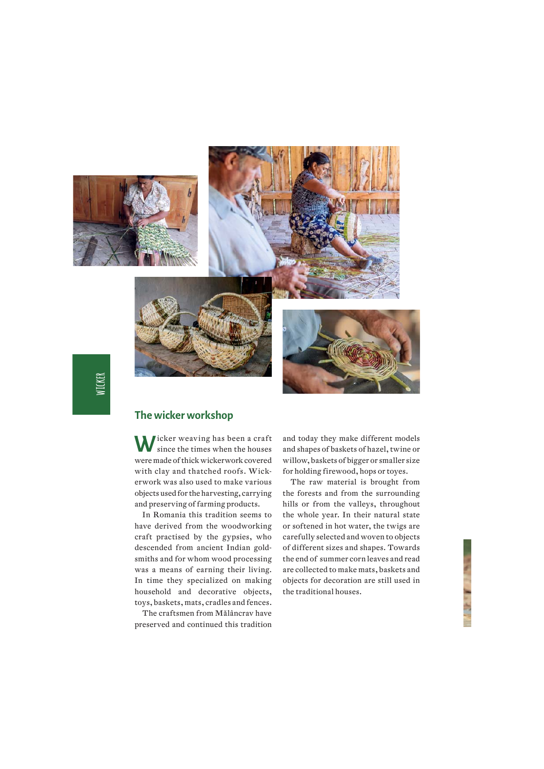![](_page_5_Picture_0.jpeg)

#### **The wicker workshop**

**W**icker weaving has been a craft since the times when the houses were made of thick wickerwork covered with clay and thatched roofs. Wickerwork was also used to make various objects used for the harvesting, carrying and preserving of farming products.

In Romania this tradition seems to have derived from the woodworking craft practised by the gypsies, who descended from ancient Indian goldsmiths and for whom wood processing was a means of earning their living. In time they specialized on making household and decorative objects, toys, baskets, mats, cradles and fences.

The craftsmen from Mălâncrav have preserved and continued this tradition

and today they make different models and shapes of baskets of hazel, twine or willow, baskets of bigger or smaller size for holding firewood, hops or toyes.

The raw material is brought from the forests and from the surrounding hills or from the valleys, throughout the whole year. In their natural state or softened in hot water, the twigs are carefully selected and woven to objects of different sizes and shapes. Towards the end of summer corn leaves and read are collected to make mats, baskets and objects for decoration are still used in the traditional houses.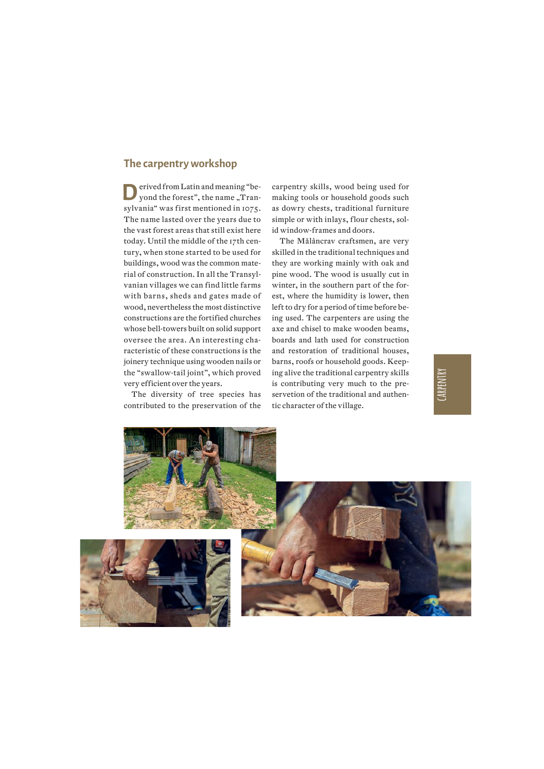#### **The carpentry workshop**

**D**erived from Latin and meaning "be-<br>yond the forest", the name "Transylvania" was first mentioned in 1075. The name lasted over the years due to the vast forest areas that still exist here today. Until the middle of the 17th century, when stone started to be used for buildings, wood was the common material of construction. In all the Transylvanian villages we can find little farms with barns, sheds and gates made of wood, nevertheless the most distinctive constructions are the fortified churches whose bell-towers built on solid support oversee the area. An interesting characteristic of these constructions is the joinery technique using wooden nails or the "swallow-tail joint", which proved very efficient over the years.

The diversity of tree species has contributed to the preservation of the carpentry skills, wood being used for making tools or household goods such as dowry chests, traditional furniture simple or with inlays, flour chests, solid window-frames and doors.

The Mălâncrav craftsmen, are very skilled in the traditional techniques and they are working mainly with oak and pine wood. The wood is usually cut in winter, in the southern part of the forest, where the humidity is lower, then left to dry for a period of time before being used. The carpenters are using the axe and chisel to make wooden beams, boards and lath used for construction and restoration of traditional houses, barns, roofs or household goods. Keeping alive the traditional carpentry skills is contributing very much to the preservetion of the traditional and authentic character of the village.

**carpentry**

![](_page_6_Picture_5.jpeg)